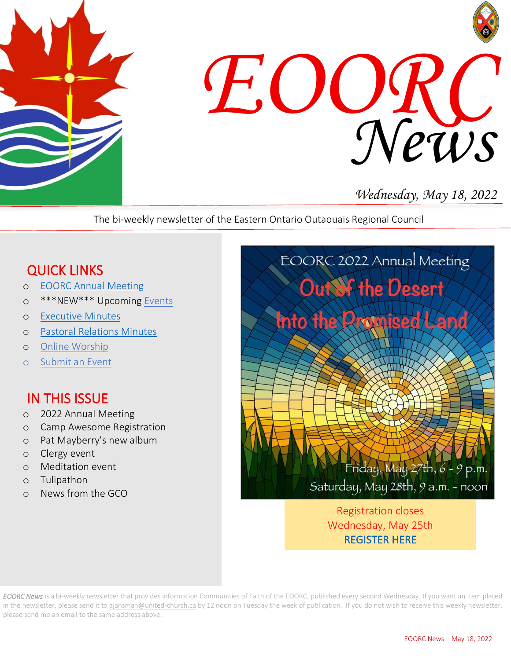



# *Wednesday, May 18, 2022*

The bi-weekly newsletter of the Eastern Ontario Outaouais Regional Council

## QUICK LINKS

- o [EOORC Annual Meeting](https://eoorc.ca/2022-eoorc-annual-meeting/)
- o \*\*\*NEW\*\*\* Upcoming [Events](https://eoorc.ca/events/)
- o [Executive Minutes](https://eoorc.ca/about-us/governance/)
- o [Pastoral Relations Minutes](https://eoorc.ca/ministries/pastoral-relations-minutes/)
- o [Online Worship](https://eoorc.ca/resources/online-worship/)
- o [Submit](https://eoorc.ca/events/community/add) an Event

## IN THIS ISSUE

- o 2022 Annual Meeting
- o Camp Awesome Registration
- o Pat Mayberry's new album
- o Clergy event
- o Meditation event
- o Tulipathon
- o News from the GCO



Registration closes Wednesday, May 25th [REGISTER HERE](https://eoorc.ca/2022-eoorc-annual-meeting/) 

*EOORC News* is a bi-weekly newsletter that provides information Communities of Faith of the EOORC, published every second Wednesday. If you want an item placed in the newsletter, please send it to [ajansman@united-church.ca](mailto:ajansman@united-church.ca) by 12 noon on Tuesday the week of publication. If you do not wish to receive this weekly newsletter, please send me an email to the same address above.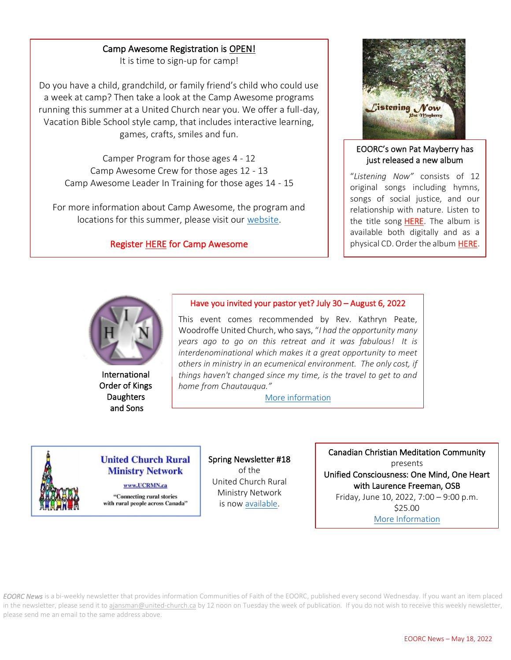### Camp Awesome Registration is OPEN!

It is time to sign-up for camp!

Do you have a child, grandchild, or family friend's child who could use a week at camp? Then take a look at the Camp Awesome programs running this summer at a United Church near you. We offer a full-day, Vacation Bible School style camp, that includes interactive learning, games, crafts, smiles and fun.

 Camp Awesome Leader In Training for those ages 14 - 15 Camper Program for those ages 4 - 12 Camp Awesome Crew for those ages 12 - 13

For more information about Camp Awesome, the program and locations for this summer, please visit our [website.](https://camp-awesome.ca/)

#### Register **HERE** for Camp Awesome



#### EOORC's own Pat Mayberry has just released a new album

"*Listening Now"* consists of 12 original songs including hymns, songs of social justice, and our relationship with nature. Listen to the title song [HERE.](https://www.youtube.com/watch?v=RuNWF8ZPYEY) The album is available both digitally and as a physical CD. Order the album [HERE.](https://www.patmayberrymusic.com/listeningnow)



International Order of Kings **Daughters** and Sons

#### Have you invited your pastor yet? July 30 – August 6, 2022

 *home from Chautauqua."* This event comes recommended by Rev. Kathryn Peate, Woodroffe United Church, who says, "*I had the opportunity many years ago to go on this retreat and it was fabulous! It is interdenominational which makes it a great opportunity to meet others in ministry in an ecumenical environment. The only cost, if things haven't changed since my time, is the travel to get to and* 

[More information](https://mailchi.mp/a3ab2a29224c/have-you-invited-your-pastor-yet?e=b637a01a85)



#### **United Church Rural Ministry Network**

www.UCRMN.ca

"Connecting rural stories with rural people across Canada" Spring Newsletter #18 of the United Church Rural Ministry Network is no[w available.](https://mailchi.mp/e94b189f671d/summer-newsletter-from-ucrmn-11600409?e=50152d7ace)

I

Canadian Christian Meditation Community presents Unified Consciousness: One Mind, One Heart with Laurence Freeman, OSB Friday, June 10, 2022, 7:00 – 9:00 p.m. \$25.00 [More Information](https://eoorc.ca/event/canadian-christian-meditation-community-plenary-session/)

*EOORC News* is a bi-weekly newsletter that provides information Communities of Faith of the EOORC, published every second Wednesday. If you want an item placed in the newsletter, please send it to [ajansman@united-church.ca](mailto:ajansman@united-church.ca) by 12 noon on Tuesday the week of publication. If you do not wish to receive this weekly newsletter, please send me an email to the same address above.